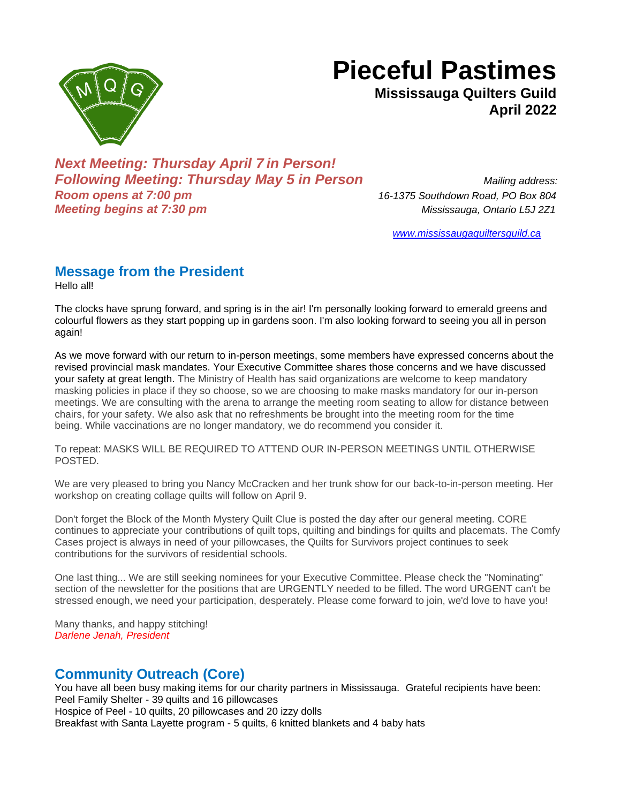

# **Pieceful Pastimes**

**Mississauga Quilters Guild April 2022**

*Next Meeting: Thursday April 7 in Person! Following Meeting: Thursday May 5 in Person Mailing address: Room opens at 7:00 pm 16-1375 Southdown Road, PO Box 804 Meeting begins at 7:30 pm Mississauga, Ontario L5J 2Z1*

*[www.mississaugaquiltersguild.ca](http://www.mississaugaquiltersguild.ca/)*

## **Message from the President**

Hello all!

The clocks have sprung forward, and spring is in the air! I'm personally looking forward to emerald greens and colourful flowers as they start popping up in gardens soon. I'm also looking forward to seeing you all in person again!

As we move forward with our return to in-person meetings, some members have expressed concerns about the revised provincial mask mandates. Your Executive Committee shares those concerns and we have discussed your safety at great length. The Ministry of Health has said organizations are welcome to keep mandatory masking policies in place if they so choose, so we are choosing to make masks mandatory for our in-person meetings. We are consulting with the arena to arrange the meeting room seating to allow for distance between chairs, for your safety. We also ask that no refreshments be brought into the meeting room for the time being. While vaccinations are no longer mandatory, we do recommend you consider it.

To repeat: MASKS WILL BE REQUIRED TO ATTEND OUR IN-PERSON MEETINGS UNTIL OTHERWISE POSTED.

We are very pleased to bring you Nancy McCracken and her trunk show for our back-to-in-person meeting. Her workshop on creating collage quilts will follow on April 9.

Don't forget the Block of the Month Mystery Quilt Clue is posted the day after our general meeting. CORE continues to appreciate your contributions of quilt tops, quilting and bindings for quilts and placemats. The Comfy Cases project is always in need of your pillowcases, the Quilts for Survivors project continues to seek contributions for the survivors of residential schools.

One last thing... We are still seeking nominees for your Executive Committee. Please check the "Nominating" section of the newsletter for the positions that are URGENTLY needed to be filled. The word URGENT can't be stressed enough, we need your participation, desperately. Please come forward to join, we'd love to have you!

Many thanks, and happy stitching! *Darlene Jenah, President*

## **Community Outreach (Core)**

You have all been busy making items for our charity partners in Mississauga. Grateful recipients have been: Peel Family Shelter - 39 quilts and 16 pillowcases Hospice of Peel - 10 quilts, 20 pillowcases and 20 izzy dolls Breakfast with Santa Layette program - 5 quilts, 6 knitted blankets and 4 baby hats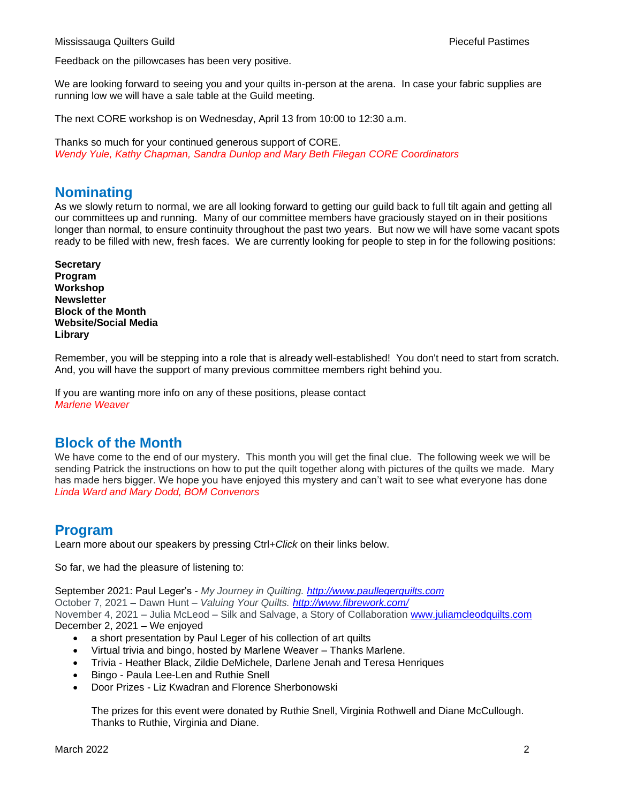Feedback on the pillowcases has been very positive.

We are looking forward to seeing you and your quilts in-person at the arena. In case your fabric supplies are running low we will have a sale table at the Guild meeting.

The next CORE workshop is on Wednesday, April 13 from 10:00 to 12:30 a.m.

Thanks so much for your continued generous support of CORE. *Wendy Yule, Kathy Chapman, Sandra Dunlop and Mary Beth Filegan CORE Coordinators*

#### **Nominating**

As we slowly return to normal, we are all looking forward to getting our guild back to full tilt again and getting all our committees up and running. Many of our committee members have graciously stayed on in their positions longer than normal, to ensure continuity throughout the past two years. But now we will have some vacant spots ready to be filled with new, fresh faces. We are currently looking for people to step in for the following positions:

**Secretary Program Workshop Newsletter Block of the Month Website/Social Media Library**

Remember, you will be stepping into a role that is already well-established! You don't need to start from scratch. And, you will have the support of many previous committee members right behind you.

If you are wanting more info on any of these positions, please contact *Marlene Weaver*

#### **Block of the Month**

We have come to the end of our mystery. This month you will get the final clue. The following week we will be sending Patrick the instructions on how to put the quilt together along with pictures of the quilts we made. Mary has made hers bigger. We hope you have enjoyed this mystery and can't wait to see what everyone has done *Linda Ward and Mary Dodd, BOM Convenors*

#### **Program**

Learn more about our speakers by pressing Ctrl+*Click* on their links below.

So far, we had the pleasure of listening to:

September 2021: Paul Leger's - *My Journey in Quilting. [http://www.paullegerquilts.com](http://www.paullegerquilts.com/)* October 7, 2021 **–** Dawn Hunt – *Valuing Your Quilts. <http://www.fibrework.com/>* November 4, 2021 – Julia McLeod – Silk and Salvage, a Story of Collaboration [www.juliamcleodquilts.com](http://www.juliamcleodquilts.com/) December 2, 2021 **–** We enjoyed

- a short presentation by Paul Leger of his collection of art quilts
- Virtual trivia and bingo, hosted by Marlene Weaver Thanks Marlene.
- Trivia Heather Black, Zildie DeMichele, Darlene Jenah and Teresa Henriques
- Bingo Paula Lee-Len and Ruthie Snell
- Door Prizes Liz Kwadran and Florence Sherbonowski

The prizes for this event were donated by Ruthie Snell, Virginia Rothwell and Diane McCullough. Thanks to Ruthie, Virginia and Diane.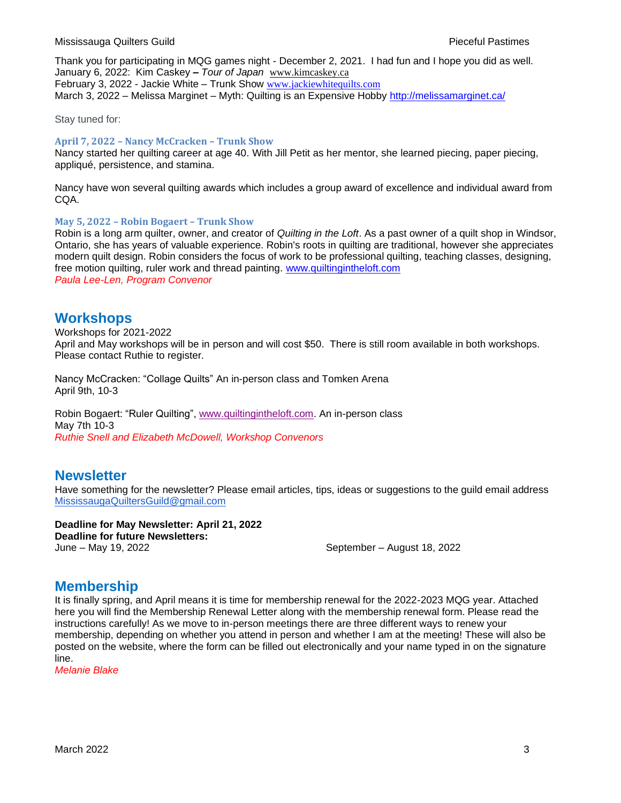Thank you for participating in MQG games night - December 2, 2021. I had fun and I hope you did as well. January 6, 2022: Kim Caskey **–** *Tour of Japan* [www.kimcaskey.ca](http://www.kimcaskey.ca/) February 3, 2022 - Jackie White – Trunk Show [www.jackiewhitequilts.com](http://www.jackiewhitequilts.com/) March 3, 2022 – Melissa Marginet – Myth: Quilting is an Expensive Hobby <http://melissamarginet.ca/>

Stay tuned for:

#### **April 7, 2022 – Nancy McCracken – Trunk Show**

Nancy started her quilting career at age 40. With Jill Petit as her mentor, she learned piecing, paper piecing, appliqué, persistence, and stamina.

Nancy have won several quilting awards which includes a group award of excellence and individual award from CQA.

#### **May 5, 2022 – Robin Bogaert – Trunk Show**

Robin is a long arm quilter, owner, and creator of *Quilting in the Loft*. As a past owner of a quilt shop in Windsor, Ontario, she has years of valuable experience. Robin's roots in quilting are traditional, however she appreciates modern quilt design. Robin considers the focus of work to be professional quilting, teaching classes, designing, free motion quilting, ruler work and thread painting. [www.quiltingintheloft.com](http://www.quiltingintheloft.com/) *Paula Lee-Len, Program Convenor* 

#### **Workshops**

Workshops for 2021-2022 April and May workshops will be in person and will cost \$50. There is still room available in both workshops. Please contact Ruthie to register.

Nancy McCracken: "Collage Quilts" An in-person class and Tomken Arena April 9th, 10-3

Robin Bogaert: "Ruler Quilting", [www.quiltingintheloft.com.](http://www.quiltingintheloft.com/) An in-person class May 7th 10-3 *Ruthie Snell and Elizabeth McDowell, Workshop Convenors* 

#### **Newsletter**

Have something for the newsletter? Please email articles, tips, ideas or suggestions to the guild email address [MississaugaQuiltersGuild@gmail.com](mailto:MississaugaQuiltersGuild@gmail.com)

**Deadline for May Newsletter: April 21, 2022 Deadline for future Newsletters:** June – May 19, 2022 September – August 18, 2022

#### **Membership**

It is finally spring, and April means it is time for membership renewal for the 2022-2023 MQG year. Attached here you will find the Membership Renewal Letter along with the membership renewal form. Please read the instructions carefully! As we move to in-person meetings there are three different ways to renew your membership, depending on whether you attend in person and whether I am at the meeting! These will also be posted on the website, where the form can be filled out electronically and your name typed in on the signature line.

*Melanie Blake*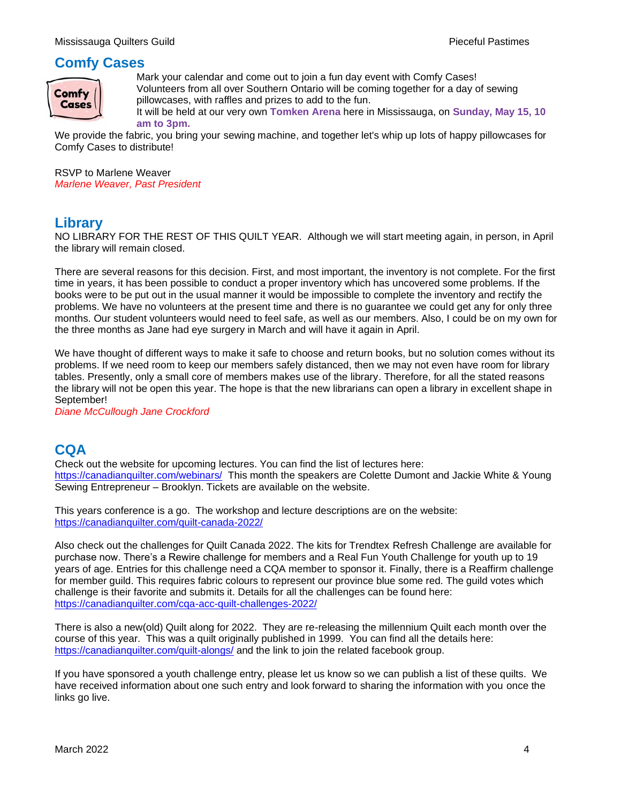## **Comfy Cases**



Mark your calendar and come out to join a fun day event with Comfy Cases! Volunteers from all over Southern Ontario will be coming together for a day of sewing pillowcases, with raffles and prizes to add to the fun.

It will be held at our very own **Tomken Arena** here in Mississauga, on **Sunday, May 15, 10 am to 3pm.**

We provide the fabric, you bring your sewing machine, and together let's whip up lots of happy pillowcases for Comfy Cases to distribute!

RSVP to Marlene Weaver *Marlene Weaver, Past President*

## **Library**

NO LIBRARY FOR THE REST OF THIS QUILT YEAR. Although we will start meeting again, in person, in April the library will remain closed.

There are several reasons for this decision. First, and most important, the inventory is not complete. For the first time in years, it has been possible to conduct a proper inventory which has uncovered some problems. If the books were to be put out in the usual manner it would be impossible to complete the inventory and rectify the problems. We have no volunteers at the present time and there is no guarantee we could get any for only three months. Our student volunteers would need to feel safe, as well as our members. Also, I could be on my own for the three months as Jane had eye surgery in March and will have it again in April.

We have thought of different ways to make it safe to choose and return books, but no solution comes without its problems. If we need room to keep our members safely distanced, then we may not even have room for library tables. Presently, only a small core of members makes use of the library. Therefore, for all the stated reasons the library will not be open this year. The hope is that the new librarians can open a library in excellent shape in September!

*Diane McCullough Jane Crockford*

## **CQA**

Check out the website for upcoming lectures. You can find the list of lectures here: <https://canadianquilter.com/webinars/> This month the speakers are Colette Dumont and Jackie White & Young Sewing Entrepreneur – Brooklyn. Tickets are available on the website.

This years conference is a go. The workshop and lecture descriptions are on the website: <https://canadianquilter.com/quilt-canada-2022/>

Also check out the challenges for Quilt Canada 2022. The kits for Trendtex Refresh Challenge are available for purchase now. There's a Rewire challenge for members and a Real Fun Youth Challenge for youth up to 19 years of age. Entries for this challenge need a CQA member to sponsor it. Finally, there is a Reaffirm challenge for member guild. This requires fabric colours to represent our province blue some red. The guild votes which challenge is their favorite and submits it. Details for all the challenges can be found here: <https://canadianquilter.com/cqa-acc-quilt-challenges-2022/>

There is also a new(old) Quilt along for 2022. They are re-releasing the millennium Quilt each month over the course of this year. This was a quilt originally published in 1999. You can find all the details here: <https://canadianquilter.com/quilt-alongs/> and the link to join the related facebook group.

If you have sponsored a youth challenge entry, please let us know so we can publish a list of these quilts. We have received information about one such entry and look forward to sharing the information with you once the links go live.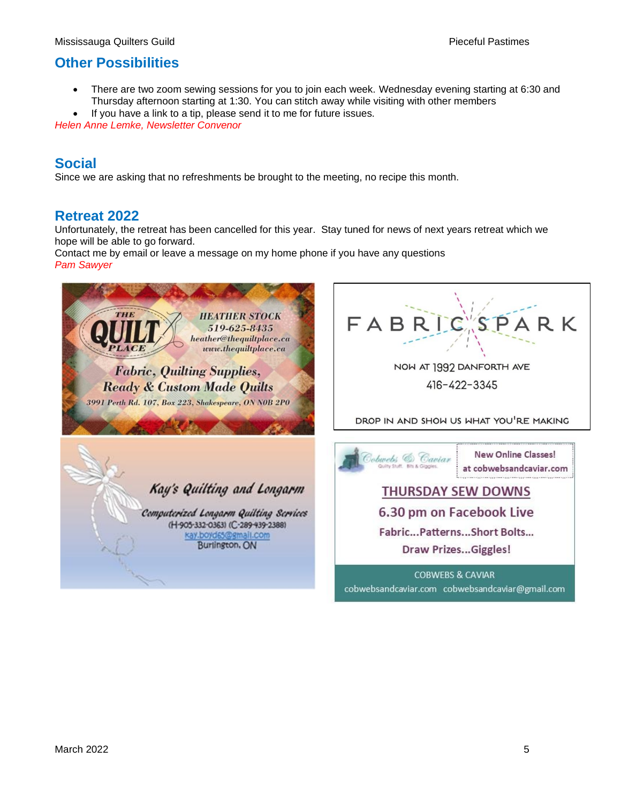## **Other Possibilities**

• There are two zoom sewing sessions for you to join each week. Wednesday evening starting at 6:30 and Thursday afternoon starting at 1:30. You can stitch away while visiting with other members

If you have a link to a tip, please send it to me for future issues. *Helen Anne Lemke, Newsletter Convenor*

## **Social**

Since we are asking that no refreshments be brought to the meeting, no recipe this month.

## **Retreat 2022**

Unfortunately, the retreat has been cancelled for this year. Stay tuned for news of next years retreat which we hope will be able to go forward.

Contact me by email or leave a message on my home phone if you have any questions *Pam Sawyer*

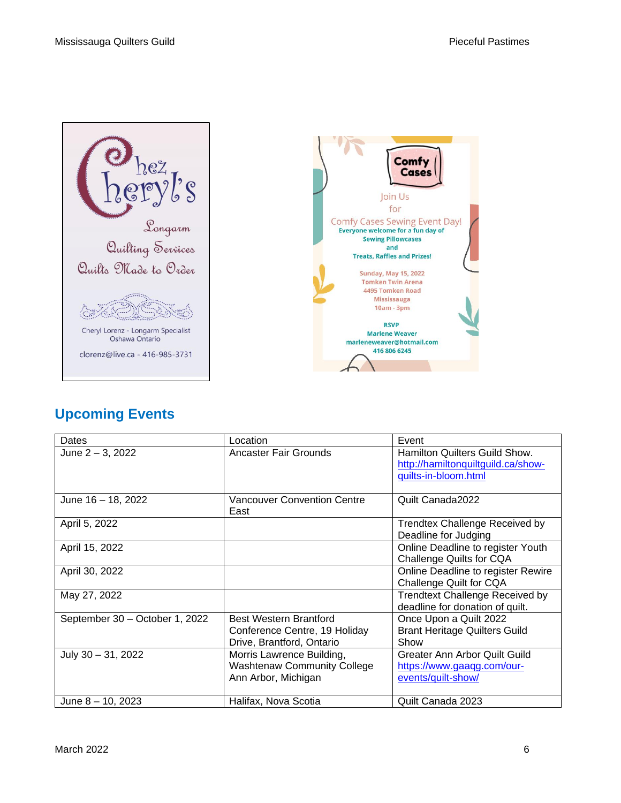



# **Upcoming Events**

| Dates                          | Location                                   | Event                                  |
|--------------------------------|--------------------------------------------|----------------------------------------|
| June 2 - 3, 2022               | Ancaster Fair Grounds                      | Hamilton Quilters Guild Show.          |
|                                |                                            | http://hamiltonquiltguild.ca/show-     |
|                                |                                            | guilts-in-bloom.html                   |
|                                |                                            |                                        |
| June 16 - 18, 2022             | <b>Vancouver Convention Centre</b><br>East | Quilt Canada2022                       |
| April 5, 2022                  |                                            | <b>Trendtex Challenge Received by</b>  |
|                                |                                            | Deadline for Judging                   |
| April 15, 2022                 |                                            | Online Deadline to register Youth      |
|                                |                                            | Challenge Quilts for CQA               |
| April 30, 2022                 |                                            | Online Deadline to register Rewire     |
|                                |                                            | Challenge Quilt for CQA                |
| May 27, 2022                   |                                            | <b>Trendtext Challenge Received by</b> |
|                                |                                            | deadline for donation of quilt.        |
| September 30 - October 1, 2022 | <b>Best Western Brantford</b>              | Once Upon a Quilt 2022                 |
|                                | Conference Centre, 19 Holiday              | <b>Brant Heritage Quilters Guild</b>   |
|                                | Drive, Brantford, Ontario                  | Show                                   |
| July 30 - 31, 2022             | Morris Lawrence Building,                  | Greater Ann Arbor Quilt Guild          |
|                                | <b>Washtenaw Community College</b>         | https://www.gaagg.com/our-             |
|                                | Ann Arbor, Michigan                        | events/quilt-show/                     |
|                                |                                            |                                        |
| June $8 - 10$ , 2023           | Halifax, Nova Scotia                       | Quilt Canada 2023                      |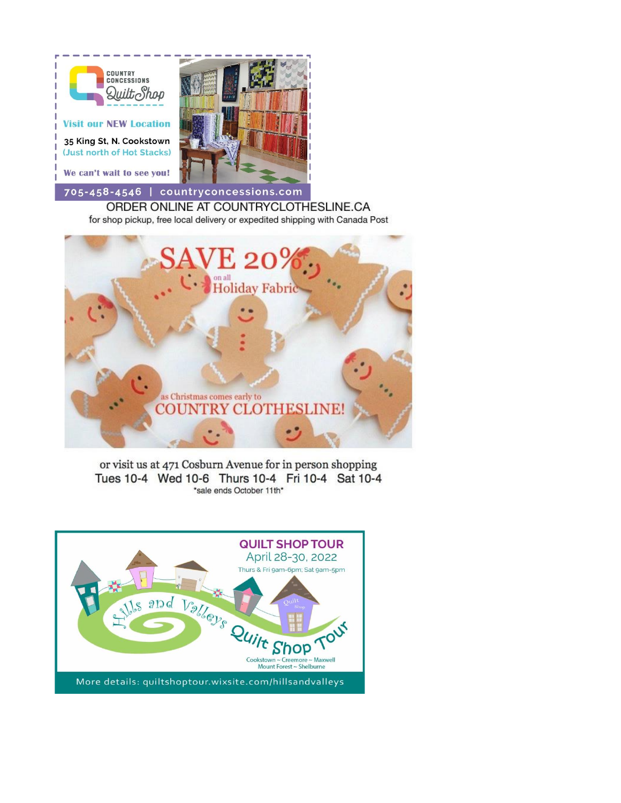

for shop pickup, free local delivery or expedited shipping with Canada Post



or visit us at 471 Cosburn Avenue for in person shopping Tues 10-4 Wed 10-6 Thurs 10-4 Fri 10-4 Sat 10-4 \*sale ends October 11th\*